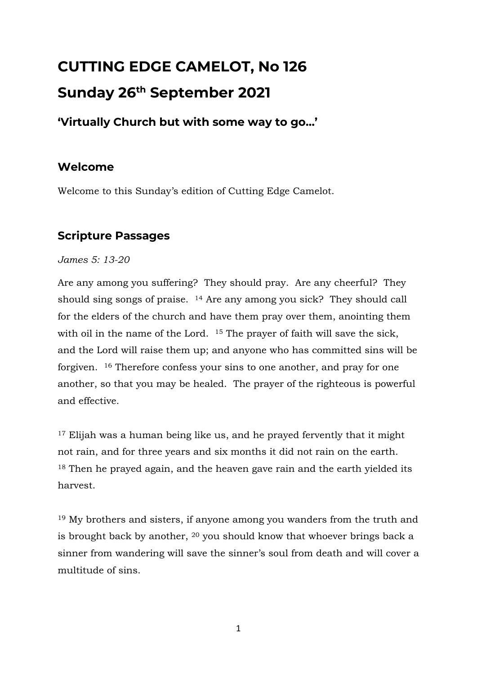# **CUTTING EDGE CAMELOT, No 126 Sunday 26th September 2021**

## **'Virtually Church but with some way to go…'**

## **Welcome**

Welcome to this Sunday's edition of Cutting Edge Camelot.

## **Scripture Passages**

#### *James 5: 13-20*

Are any among you suffering? They should pray. Are any cheerful? They should sing songs of praise. <sup>14</sup> Are any among you sick? They should call for the elders of the church and have them pray over them, anointing them with oil in the name of the Lord. <sup>15</sup> The prayer of faith will save the sick, and the Lord will raise them up; and anyone who has committed sins will be forgiven. <sup>16</sup> Therefore confess your sins to one another, and pray for one another, so that you may be healed. The prayer of the righteous is powerful and effective.

<sup>17</sup> Elijah was a human being like us, and he prayed fervently that it might not rain, and for three years and six months it did not rain on the earth. <sup>18</sup> Then he prayed again, and the heaven gave rain and the earth yielded its harvest.

<sup>19</sup> My brothers and sisters, if anyone among you wanders from the truth and is brought back by another, <sup>20</sup> you should know that whoever brings back a sinner from wandering will save the sinner's soul from death and will cover a multitude of sins.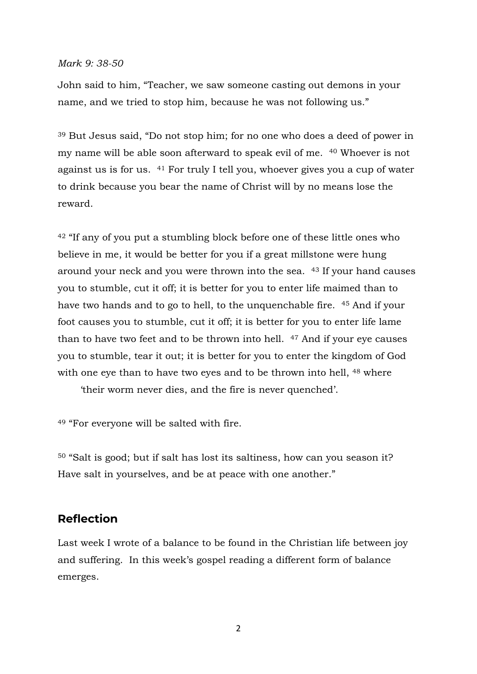#### *Mark 9: 38-50*

John said to him, "Teacher, we saw someone casting out demons in your name, and we tried to stop him, because he was not following us."

<sup>39</sup> But Jesus said, "Do not stop him; for no one who does a deed of power in my name will be able soon afterward to speak evil of me. <sup>40</sup> Whoever is not against us is for us. <sup>41</sup> For truly I tell you, whoever gives you a cup of water to drink because you bear the name of Christ will by no means lose the reward.

<sup>42</sup> "If any of you put a stumbling block before one of these little ones who believe in me, it would be better for you if a great millstone were hung around your neck and you were thrown into the sea. <sup>43</sup> If your hand causes you to stumble, cut it off; it is better for you to enter life maimed than to have two hands and to go to hell, to the unquenchable fire. <sup>45</sup> And if your foot causes you to stumble, cut it off; it is better for you to enter life lame than to have two feet and to be thrown into hell. <sup>47</sup> And if your eye causes you to stumble, tear it out; it is better for you to enter the kingdom of God with one eye than to have two eyes and to be thrown into hell, <sup>48</sup> where

'their worm never dies, and the fire is never quenched'.

<sup>49</sup> "For everyone will be salted with fire.

<sup>50</sup> "Salt is good; but if salt has lost its saltiness, how can you season it? Have salt in yourselves, and be at peace with one another."

#### **Reflection**

Last week I wrote of a balance to be found in the Christian life between joy and suffering. In this week's gospel reading a different form of balance emerges.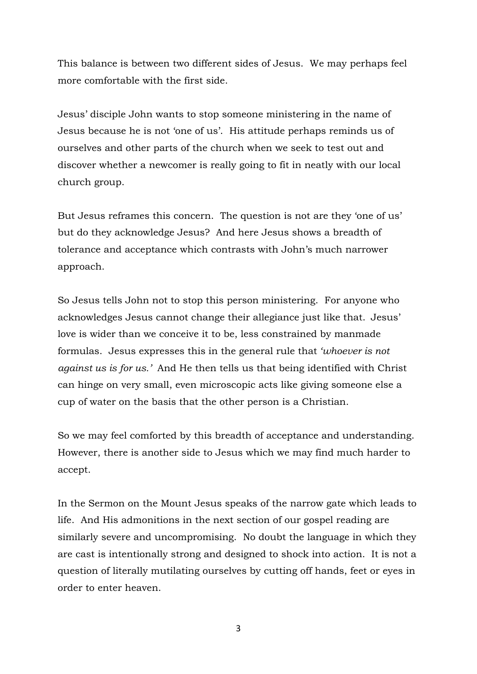This balance is between two different sides of Jesus. We may perhaps feel more comfortable with the first side.

Jesus' disciple John wants to stop someone ministering in the name of Jesus because he is not 'one of us'. His attitude perhaps reminds us of ourselves and other parts of the church when we seek to test out and discover whether a newcomer is really going to fit in neatly with our local church group.

But Jesus reframes this concern. The question is not are they 'one of us' but do they acknowledge Jesus? And here Jesus shows a breadth of tolerance and acceptance which contrasts with John's much narrower approach.

So Jesus tells John not to stop this person ministering. For anyone who acknowledges Jesus cannot change their allegiance just like that. Jesus' love is wider than we conceive it to be, less constrained by manmade formulas. Jesus expresses this in the general rule that *'whoever is not against us is for us.'* And He then tells us that being identified with Christ can hinge on very small, even microscopic acts like giving someone else a cup of water on the basis that the other person is a Christian.

So we may feel comforted by this breadth of acceptance and understanding. However, there is another side to Jesus which we may find much harder to accept.

In the Sermon on the Mount Jesus speaks of the narrow gate which leads to life. And His admonitions in the next section of our gospel reading are similarly severe and uncompromising. No doubt the language in which they are cast is intentionally strong and designed to shock into action. It is not a question of literally mutilating ourselves by cutting off hands, feet or eyes in order to enter heaven.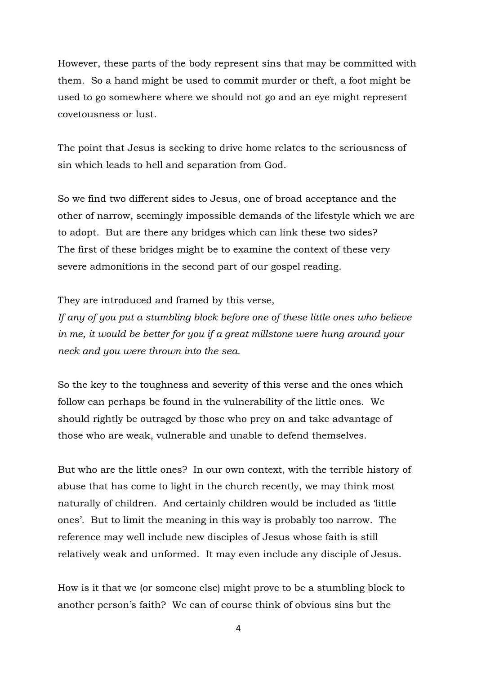However, these parts of the body represent sins that may be committed with them. So a hand might be used to commit murder or theft, a foot might be used to go somewhere where we should not go and an eye might represent covetousness or lust.

The point that Jesus is seeking to drive home relates to the seriousness of sin which leads to hell and separation from God.

So we find two different sides to Jesus, one of broad acceptance and the other of narrow, seemingly impossible demands of the lifestyle which we are to adopt. But are there any bridges which can link these two sides? The first of these bridges might be to examine the context of these very severe admonitions in the second part of our gospel reading.

They are introduced and framed by this verse,

*If any of you put a stumbling block before one of these little ones who believe in me, it would be better for you if a great millstone were hung around your neck and you were thrown into the sea.*

So the key to the toughness and severity of this verse and the ones which follow can perhaps be found in the vulnerability of the little ones. We should rightly be outraged by those who prey on and take advantage of those who are weak, vulnerable and unable to defend themselves.

But who are the little ones? In our own context, with the terrible history of abuse that has come to light in the church recently, we may think most naturally of children. And certainly children would be included as 'little ones'. But to limit the meaning in this way is probably too narrow. The reference may well include new disciples of Jesus whose faith is still relatively weak and unformed. It may even include any disciple of Jesus.

How is it that we (or someone else) might prove to be a stumbling block to another person's faith? We can of course think of obvious sins but the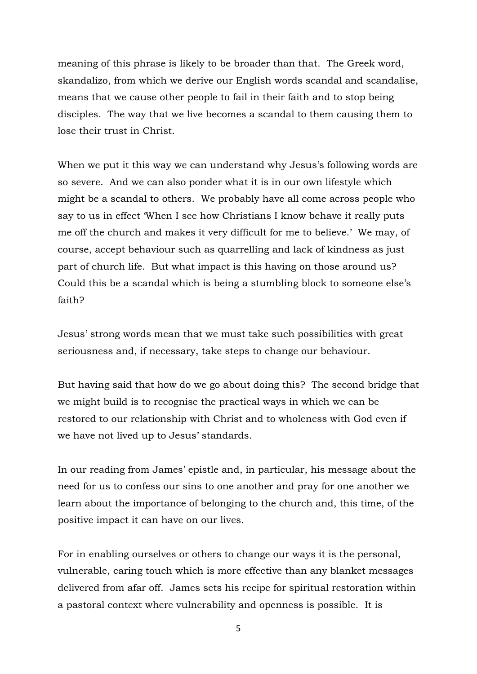meaning of this phrase is likely to be broader than that. The Greek word, skandalizo, from which we derive our English words scandal and scandalise, means that we cause other people to fail in their faith and to stop being disciples. The way that we live becomes a scandal to them causing them to lose their trust in Christ.

When we put it this way we can understand why Jesus's following words are so severe. And we can also ponder what it is in our own lifestyle which might be a scandal to others. We probably have all come across people who say to us in effect 'When I see how Christians I know behave it really puts me off the church and makes it very difficult for me to believe.' We may, of course, accept behaviour such as quarrelling and lack of kindness as just part of church life. But what impact is this having on those around us? Could this be a scandal which is being a stumbling block to someone else's faith?

Jesus' strong words mean that we must take such possibilities with great seriousness and, if necessary, take steps to change our behaviour.

But having said that how do we go about doing this? The second bridge that we might build is to recognise the practical ways in which we can be restored to our relationship with Christ and to wholeness with God even if we have not lived up to Jesus' standards.

In our reading from James' epistle and, in particular, his message about the need for us to confess our sins to one another and pray for one another we learn about the importance of belonging to the church and, this time, of the positive impact it can have on our lives.

For in enabling ourselves or others to change our ways it is the personal, vulnerable, caring touch which is more effective than any blanket messages delivered from afar off. James sets his recipe for spiritual restoration within a pastoral context where vulnerability and openness is possible. It is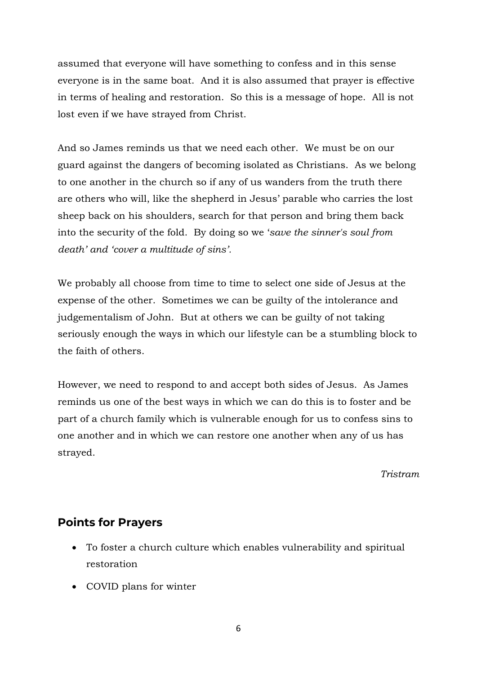assumed that everyone will have something to confess and in this sense everyone is in the same boat. And it is also assumed that prayer is effective in terms of healing and restoration. So this is a message of hope. All is not lost even if we have strayed from Christ.

And so James reminds us that we need each other. We must be on our guard against the dangers of becoming isolated as Christians. As we belong to one another in the church so if any of us wanders from the truth there are others who will, like the shepherd in Jesus' parable who carries the lost sheep back on his shoulders, search for that person and bring them back into the security of the fold. By doing so we '*save the sinner's soul from death' and 'cover a multitude of sins'.* 

We probably all choose from time to time to select one side of Jesus at the expense of the other. Sometimes we can be guilty of the intolerance and judgementalism of John. But at others we can be guilty of not taking seriously enough the ways in which our lifestyle can be a stumbling block to the faith of others.

However, we need to respond to and accept both sides of Jesus. As James reminds us one of the best ways in which we can do this is to foster and be part of a church family which is vulnerable enough for us to confess sins to one another and in which we can restore one another when any of us has strayed.

*Tristram*

### **Points for Prayers**

- To foster a church culture which enables vulnerability and spiritual restoration
- COVID plans for winter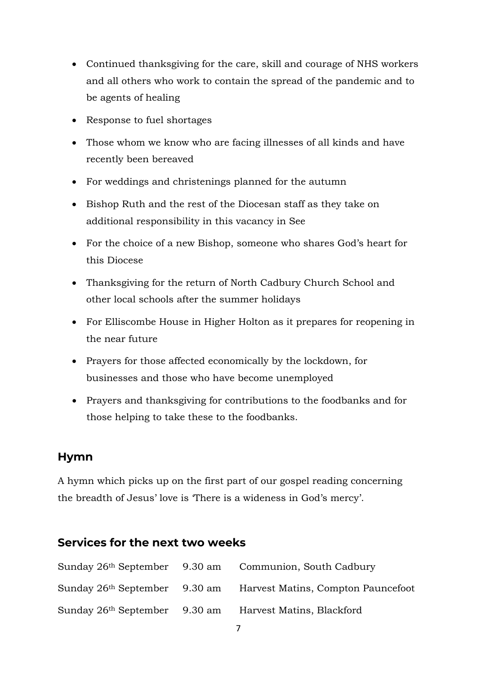- Continued thanksgiving for the care, skill and courage of NHS workers and all others who work to contain the spread of the pandemic and to be agents of healing
- Response to fuel shortages
- Those whom we know who are facing illnesses of all kinds and have recently been bereaved
- For weddings and christenings planned for the autumn
- Bishop Ruth and the rest of the Diocesan staff as they take on additional responsibility in this vacancy in See
- For the choice of a new Bishop, someone who shares God's heart for this Diocese
- Thanksgiving for the return of North Cadbury Church School and other local schools after the summer holidays
- For Elliscombe House in Higher Holton as it prepares for reopening in the near future
- Prayers for those affected economically by the lockdown, for businesses and those who have become unemployed
- Prayers and thanksgiving for contributions to the foodbanks and for those helping to take these to the foodbanks.

#### **Hymn**

A hymn which picks up on the first part of our gospel reading concerning the breadth of Jesus' love is 'There is a wideness in God's mercy'.

## **Services for the next two weeks**

|                                           | Sunday 26 <sup>th</sup> September 9.30 am Communion, South Cadbury |
|-------------------------------------------|--------------------------------------------------------------------|
| Sunday 26 <sup>th</sup> September 9.30 am | Harvest Matins, Compton Pauncefoot                                 |
| Sunday 26 <sup>th</sup> September 9.30 am | Harvest Matins, Blackford                                          |